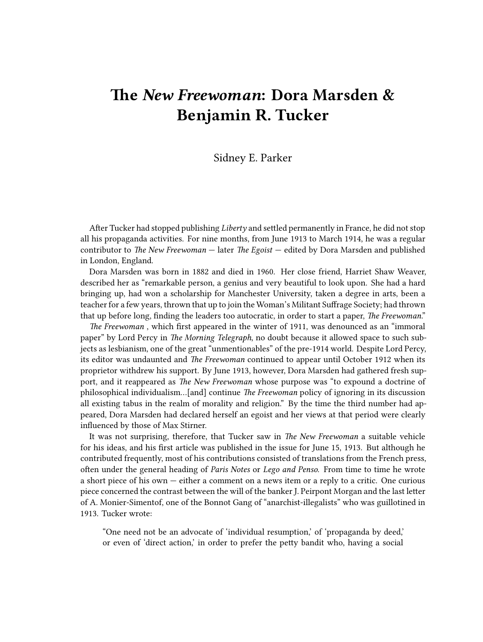## **The** *New Freewoman***: Dora Marsden & Benjamin R. Tucker**

## Sidney E. Parker

After Tucker had stopped publishing *Liberty* and settled permanently in France, he did not stop all his propaganda activities. For nine months, from June 1913 to March 1914, he was a regular contributor to *The New Freewoman* — later *The Egoist* — edited by Dora Marsden and published in London, England.

Dora Marsden was born in 1882 and died in 1960. Her close friend, Harriet Shaw Weaver, described her as "remarkable person, a genius and very beautiful to look upon. She had a hard bringing up, had won a scholarship for Manchester University, taken a degree in arts, been a teacher for a few years, thrown that up to join the Woman's Militant Suffrage Society; had thrown that up before long, finding the leaders too autocratic, in order to start a paper, *The Freewoman*."

*The Freewoman* , which first appeared in the winter of 1911, was denounced as an "immoral paper" by Lord Percy in *The Morning Telegraph*, no doubt because it allowed space to such subjects as lesbianism, one of the great "unmentionables" of the pre-1914 world. Despite Lord Percy, its editor was undaunted and *The Freewoman* continued to appear until October 1912 when its proprietor withdrew his support. By June 1913, however, Dora Marsden had gathered fresh support, and it reappeared as *The New Freewoman* whose purpose was "to expound a doctrine of philosophical individualism…[and] continue *The Freewoman* policy of ignoring in its discussion all existing tabus in the realm of morality and religion." By the time the third number had appeared, Dora Marsden had declared herself an egoist and her views at that period were clearly influenced by those of Max Stirner.

It was not surprising, therefore, that Tucker saw in *The New Freewoman* a suitable vehicle for his ideas, and his first article was published in the issue for June 15, 1913. But although he contributed frequently, most of his contributions consisted of translations from the French press, often under the general heading of *Paris Notes* or *Lego and Penso*. From time to time he wrote a short piece of his own — either a comment on a news item or a reply to a critic. One curious piece concerned the contrast between the will of the banker J. Peirpont Morgan and the last letter of A. Monier-Simentof, one of the Bonnot Gang of "anarchist-illegalists" who was guillotined in 1913. Tucker wrote:

"One need not be an advocate of 'individual resumption,' of 'propaganda by deed,' or even of 'direct action,' in order to prefer the petty bandit who, having a social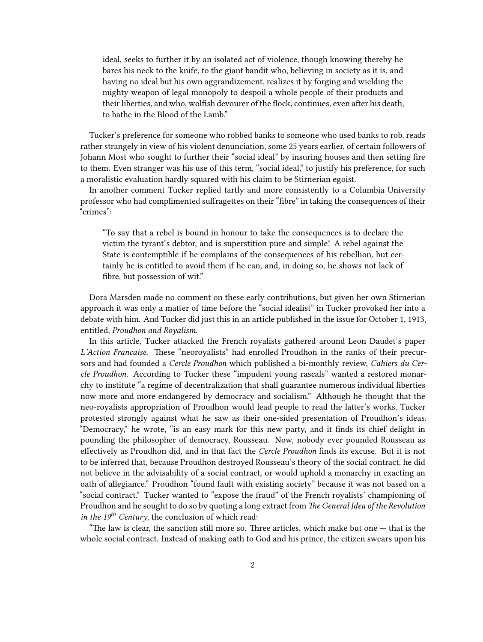ideal, seeks to further it by an isolated act of violence, though knowing thereby he bares his neck to the knife, to the giant bandit who, believing in society as it is, and having no ideal but his own aggrandizement, realizes it by forging and wielding the mighty weapon of legal monopoly to despoil a whole people of their products and their liberties, and who, wolfish devourer of the flock, continues, even after his death, to bathe in the Blood of the Lamb."

Tucker's preference for someone who robbed banks to someone who used banks to rob, reads rather strangely in view of his violent denunciation, some 25 years earlier, of certain followers of Johann Most who sought to further their "social ideal" by insuring houses and then setting fire to them. Even stranger was his use of this term, "social ideal," to justify his preference, for such a moralistic evaluation hardly squared with his claim to be Stirnerian egoist.

In another comment Tucker replied tartly and more consistently to a Columbia University professor who had complimented suffragettes on their "fibre" in taking the consequences of their "crimes":

"To say that a rebel is bound in honour to take the consequences is to declare the victim the tyrant's debtor, and is superstition pure and simple! A rebel against the State is contemptible if he complains of the consequences of his rebellion, but certainly he is entitled to avoid them if he can, and, in doing so, he shows not lack of fibre, but possession of wit."

Dora Marsden made no comment on these early contributions, but given her own Stirnerian approach it was only a matter of time before the "social idealist" in Tucker provoked her into a debate with him. And Tucker did just this in an article published in the issue for October 1, 1913, entitled, *Proudhon and Royalism*.

In this article, Tucker attacked the French royalists gathered around Leon Daudet's paper *L'Action Francaise*. These "neoroyalists" had enrolled Proudhon in the ranks of their precursors and had founded a *Cercle Proudhon* which published a bi-monthly review, *Cahiers du Cercle Proudhon*. According to Tucker these "impudent young rascals" wanted a restored monarchy to institute "a regime of decentralization that shall guarantee numerous individual liberties now more and more endangered by democracy and socialism." Although he thought that the neo-royalists appropriation of Proudhon would lead people to read the latter's works, Tucker protested strongly against what he saw as their one-sided presentation of Proudhon's ideas. "Democracy," he wrote, "is an easy mark for this new party, and it finds its chief delight in pounding the philosopher of democracy, Rousseau. Now, nobody ever pounded Rousseau as effectively as Proudhon did, and in that fact the *Cercle Proudhon* finds its excuse. But it is not to be inferred that, because Proudhon destroyed Rousseau's theory of the social contract, he did not believe in the advisability of a social contract, or would uphold a monarchy in exacting an oath of allegiance." Proudhon "found fault with existing society" because it was not based on a "social contract." Tucker wanted to "expose the fraud" of the French royalists' championing of Proudhon and he sought to do so by quoting a long extract from *The General Idea of the Revolution in the 19th Century*, the conclusion of which read:

"The law is clear, the sanction still more so. Three articles, which make but one  $-$  that is the whole social contract. Instead of making oath to God and his prince, the citizen swears upon his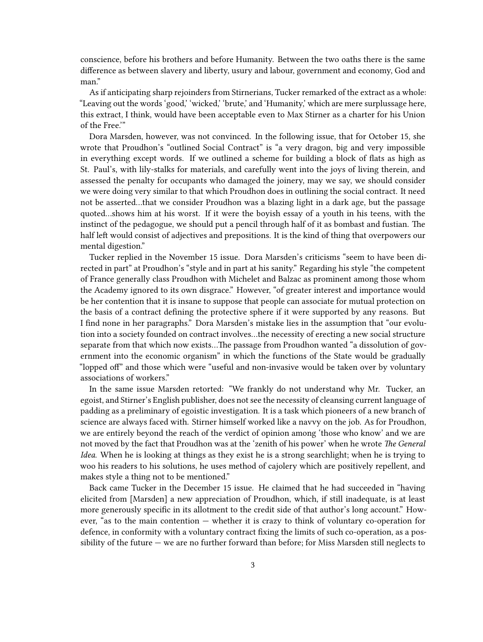conscience, before his brothers and before Humanity. Between the two oaths there is the same difference as between slavery and liberty, usury and labour, government and economy, God and man."

As if anticipating sharp rejoinders from Stirnerians, Tucker remarked of the extract as a whole: "Leaving out the words 'good,' 'wicked,' 'brute,' and 'Humanity,' which are mere surplussage here, this extract, I think, would have been acceptable even to Max Stirner as a charter for his Union of the Free.'"

Dora Marsden, however, was not convinced. In the following issue, that for October 15, she wrote that Proudhon's "outlined Social Contract" is "a very dragon, big and very impossible in everything except words. If we outlined a scheme for building a block of flats as high as St. Paul's, with lily-stalks for materials, and carefully went into the joys of living therein, and assessed the penalty for occupants who damaged the joinery, may we say, we should consider we were doing very similar to that which Proudhon does in outlining the social contract. It need not be asserted…that we consider Proudhon was a blazing light in a dark age, but the passage quoted…shows him at his worst. If it were the boyish essay of a youth in his teens, with the instinct of the pedagogue, we should put a pencil through half of it as bombast and fustian. The half left would consist of adjectives and prepositions. It is the kind of thing that overpowers our mental digestion."

Tucker replied in the November 15 issue. Dora Marsden's criticisms "seem to have been directed in part" at Proudhon's "style and in part at his sanity." Regarding his style "the competent of France generally class Proudhon with Michelet and Balzac as prominent among those whom the Academy ignored to its own disgrace." However, "of greater interest and importance would be her contention that it is insane to suppose that people can associate for mutual protection on the basis of a contract defining the protective sphere if it were supported by any reasons. But I find none in her paragraphs." Dora Marsden's mistake lies in the assumption that "our evolution into a society founded on contract involves…the necessity of erecting a new social structure separate from that which now exists…The passage from Proudhon wanted "a dissolution of government into the economic organism" in which the functions of the State would be gradually "lopped of" and those which were "useful and non-invasive would be taken over by voluntary associations of workers."

In the same issue Marsden retorted: "We frankly do not understand why Mr. Tucker, an egoist, and Stirner's English publisher, does not see the necessity of cleansing current language of padding as a preliminary of egoistic investigation. It is a task which pioneers of a new branch of science are always faced with. Stirner himself worked like a navvy on the job. As for Proudhon, we are entirely beyond the reach of the verdict of opinion among 'those who know' and we are not moved by the fact that Proudhon was at the 'zenith of his power' when he wrote *The General Idea*. When he is looking at things as they exist he is a strong searchlight; when he is trying to woo his readers to his solutions, he uses method of cajolery which are positively repellent, and makes style a thing not to be mentioned."

Back came Tucker in the December 15 issue. He claimed that he had succeeded in "having elicited from [Marsden] a new appreciation of Proudhon, which, if still inadequate, is at least more generously specific in its allotment to the credit side of that author's long account." However, "as to the main contention — whether it is crazy to think of voluntary co-operation for defence, in conformity with a voluntary contract fixing the limits of such co-operation, as a possibility of the future — we are no further forward than before; for Miss Marsden still neglects to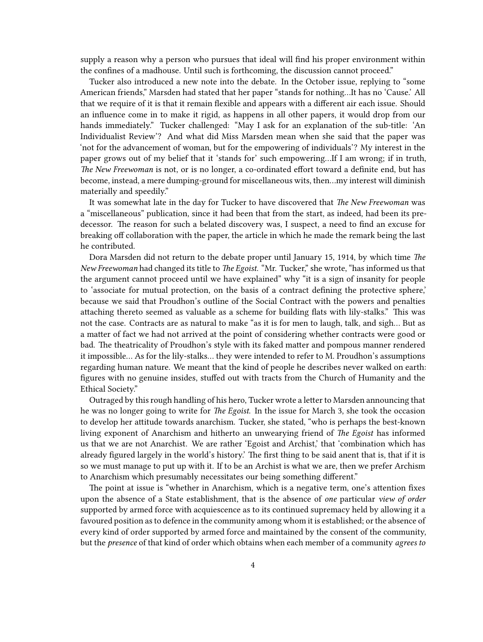supply a reason why a person who pursues that ideal will find his proper environment within the confines of a madhouse. Until such is forthcoming, the discussion cannot proceed."

Tucker also introduced a new note into the debate. In the October issue, replying to "some American friends," Marsden had stated that her paper "stands for nothing…It has no 'Cause.' All that we require of it is that it remain flexible and appears with a different air each issue. Should an influence come in to make it rigid, as happens in all other papers, it would drop from our hands immediately." Tucker challenged: "May I ask for an explanation of the sub-title: 'An Individualist Review'? And what did Miss Marsden mean when she said that the paper was 'not for the advancement of woman, but for the empowering of individuals'? My interest in the paper grows out of my belief that it 'stands for' such empowering…If I am wrong; if in truth, *The New Freewoman* is not, or is no longer, a co-ordinated effort toward a definite end, but has become, instead, a mere dumping-ground for miscellaneous wits, then…my interest will diminish materially and speedily."

It was somewhat late in the day for Tucker to have discovered that *The New Freewoman* was a "miscellaneous" publication, since it had been that from the start, as indeed, had been its predecessor. The reason for such a belated discovery was, I suspect, a need to find an excuse for breaking off collaboration with the paper, the article in which he made the remark being the last he contributed.

Dora Marsden did not return to the debate proper until January 15, 1914, by which time *The New Freewoman* had changed its title to *The Egoist*. "Mr. Tucker," she wrote, "has informed us that the argument cannot proceed until we have explained" why "it is a sign of insanity for people to 'associate for mutual protection, on the basis of a contract defining the protective sphere,' because we said that Proudhon's outline of the Social Contract with the powers and penalties attaching thereto seemed as valuable as a scheme for building flats with lily-stalks." This was not the case. Contracts are as natural to make "as it is for men to laugh, talk, and sigh… But as a matter of fact we had not arrived at the point of considering whether contracts were good or bad. The theatricality of Proudhon's style with its faked matter and pompous manner rendered it impossible… As for the lily-stalks… they were intended to refer to M. Proudhon's assumptions regarding human nature. We meant that the kind of people he describes never walked on earth: figures with no genuine insides, stuffed out with tracts from the Church of Humanity and the Ethical Society."

Outraged by this rough handling of his hero, Tucker wrote a letter to Marsden announcing that he was no longer going to write for *The Egoist*. In the issue for March 3, she took the occasion to develop her attitude towards anarchism. Tucker, she stated, "who is perhaps the best-known living exponent of Anarchism and hitherto an unwearying friend of *The Egoist* has informed us that we are not Anarchist. We are rather 'Egoist and Archist,' that 'combination which has already figured largely in the world's history.' The first thing to be said anent that is, that if it is so we must manage to put up with it. If to be an Archist is what we are, then we prefer Archism to Anarchism which presumably necessitates our being something different."

The point at issue is "whether in Anarchism, which is a negative term, one's attention fixes upon the absence of a State establishment, that is the absence of *one* particular *view of order* supported by armed force with acquiescence as to its continued supremacy held by allowing it a favoured position as to defence in the community among whom it is established; or the absence of every kind of order supported by armed force and maintained by the consent of the community, but the *presence* of that kind of order which obtains when each member of a community *agrees to*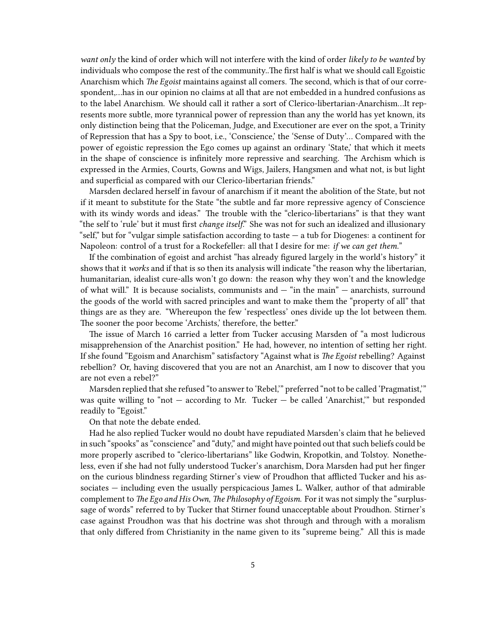*want only* the kind of order which will not interfere with the kind of order *likely to be wanted* by individuals who compose the rest of the community..The first half is what we should call Egoistic Anarchism which *The Egoist* maintains against all comers. The second, which is that of our correspondent,…has in our opinion no claims at all that are not embedded in a hundred confusions as to the label Anarchism. We should call it rather a sort of Clerico-libertarian-Anarchism…It represents more subtle, more tyrannical power of repression than any the world has yet known, its only distinction being that the Policeman, Judge, and Executioner are ever on the spot, a Trinity of Repression that has a Spy to boot, i.e., 'Conscience,' the 'Sense of Duty'… Compared with the power of egoistic repression the Ego comes up against an ordinary 'State,' that which it meets in the shape of conscience is infinitely more repressive and searching. The Archism which is expressed in the Armies, Courts, Gowns and Wigs, Jailers, Hangsmen and what not, is but light and superficial as compared with our Clerico-libertarian friends."

Marsden declared herself in favour of anarchism if it meant the abolition of the State, but not if it meant to substitute for the State "the subtle and far more repressive agency of Conscience with its windy words and ideas." The trouble with the "clerico-libertarians" is that they want "the self to 'rule' but it must first *change itself*." She was not for such an idealized and illusionary "self," but for "vulgar simple satisfaction according to taste — a tub for Diogenes: a continent for Napoleon: control of a trust for a Rockefeller: all that I desire for me: *if we can get them.*"

If the combination of egoist and archist "has already figured largely in the world's history" it shows that it *works* and if that is so then its analysis will indicate "the reason why the libertarian, humanitarian, idealist cure-alls won't go down: the reason why they won't and the knowledge of what will." It is because socialists, communists and  $-$  "in the main"  $-$  anarchists, surround the goods of the world with sacred principles and want to make them the "property of all" that things are as they are. "Whereupon the few 'respectless' ones divide up the lot between them. The sooner the poor become 'Archists,' therefore, the better."

The issue of March 16 carried a letter from Tucker accusing Marsden of "a most ludicrous misapprehension of the Anarchist position." He had, however, no intention of setting her right. If she found "Egoism and Anarchism" satisfactory "Against what is *The Egoist* rebelling? Against rebellion? Or, having discovered that you are not an Anarchist, am I now to discover that you are not even a rebel?"

Marsden replied that she refused "to answer to 'Rebel,'" preferred "not to be called 'Pragmatist,'" was quite willing to "not — according to Mr. Tucker — be called 'Anarchist,'" but responded readily to "Egoist."

On that note the debate ended.

Had he also replied Tucker would no doubt have repudiated Marsden's claim that he believed in such "spooks" as "conscience" and "duty," and might have pointed out that such beliefs could be more properly ascribed to "clerico-libertarians" like Godwin, Kropotkin, and Tolstoy. Nonetheless, even if she had not fully understood Tucker's anarchism, Dora Marsden had put her finger on the curious blindness regarding Stirner's view of Proudhon that afflicted Tucker and his associates — including even the usually perspicacious James L. Walker, author of that admirable complement to *The Ego and His Own*, *The Philosophy of Egoism*. For it was not simply the "surplussage of words" referred to by Tucker that Stirner found unacceptable about Proudhon. Stirner's case against Proudhon was that his doctrine was shot through and through with a moralism that only differed from Christianity in the name given to its "supreme being." All this is made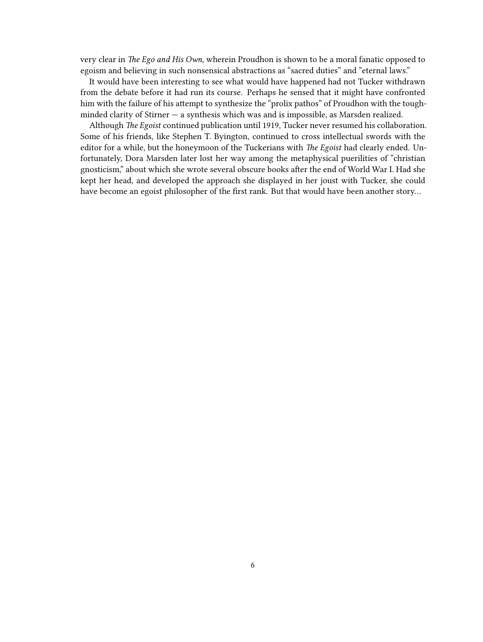very clear in *The Ego and His Own*, wherein Proudhon is shown to be a moral fanatic opposed to egoism and believing in such nonsensical abstractions as "sacred duties" and "eternal laws."

It would have been interesting to see what would have happened had not Tucker withdrawn from the debate before it had run its course. Perhaps he sensed that it might have confronted him with the failure of his attempt to synthesize the "prolix pathos" of Proudhon with the toughminded clarity of Stirner — a synthesis which was and is impossible, as Marsden realized.

Although *The Egoist* continued publication until 1919, Tucker never resumed his collaboration. Some of his friends, like Stephen T. Byington, continued to cross intellectual swords with the editor for a while, but the honeymoon of the Tuckerians with *The Egoist* had clearly ended. Unfortunately, Dora Marsden later lost her way among the metaphysical puerilities of "christian gnosticism," about which she wrote several obscure books after the end of World War I. Had she kept her head, and developed the approach she displayed in her joust with Tucker, she could have become an egoist philosopher of the first rank. But that would have been another story…